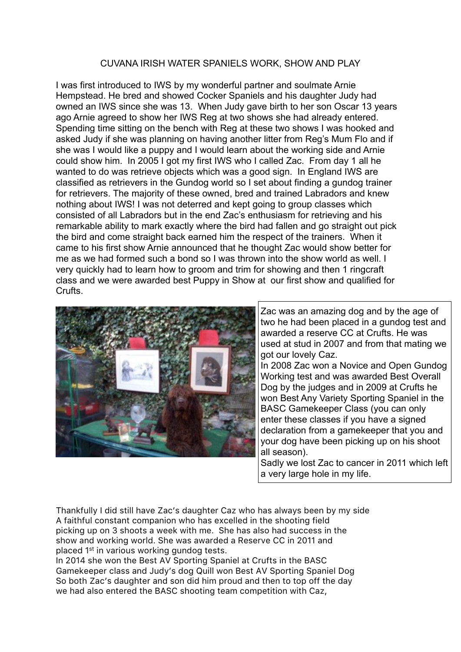## CUVANA IRISH WATER SPANIELS WORK, SHOW AND PLAY

I was first introduced to IWS by my wonderful partner and soulmate Arnie Hempstead. He bred and showed Cocker Spaniels and his daughter Judy had owned an IWS since she was 13. When Judy gave birth to her son Oscar 13 years ago Arnie agreed to show her IWS Reg at two shows she had already entered. Spending time sitting on the bench with Reg at these two shows I was hooked and asked Judy if she was planning on having another litter from Reg's Mum Flo and if she was I would like a puppy and I would learn about the working side and Arnie could show him. In 2005 I got my first IWS who I called Zac. From day 1 all he wanted to do was retrieve objects which was a good sign. In England IWS are classified as retrievers in the Gundog world so I set about finding a gundog trainer for retrievers. The majority of these owned, bred and trained Labradors and knew nothing about IWS! I was not deterred and kept going to group classes which consisted of all Labradors but in the end Zac's enthusiasm for retrieving and his remarkable ability to mark exactly where the bird had fallen and go straight out pick the bird and come straight back earned him the respect of the trainers. When it came to his first show Arnie announced that he thought Zac would show better for me as we had formed such a bond so I was thrown into the show world as well. I very quickly had to learn how to groom and trim for showing and then 1 ringcraft class and we were awarded best Puppy in Show at our first show and qualified for Crufts.



Zac was an amazing dog and by the age of two he had been placed in a gundog test and awarded a reserve CC at Crufts. He was used at stud in 2007 and from that mating we got our lovely Caz.

In 2008 Zac won a Novice and Open Gundog Working test and was awarded Best Overall Dog by the judges and in 2009 at Crufts he won Best Any Variety Sporting Spaniel in the BASC Gamekeeper Class (you can only enter these classes if you have a signed declaration from a gamekeeper that you and your dog have been picking up on his shoot all season).

Sadly we lost Zac to cancer in 2011 which left a very large hole in my life.

Thankfully I did still have Zac's daughter Caz who has always been by my side A faithful constant companion who has excelled in the shooting field picking up on 3 shoots a week with me. She has also had success in the show and working world. She was awarded a Reserve CC in 2011 and placed 1st in various working gundog tests.

In 2014 she won the Best AV Sporting Spaniel at Crufts in the BASC Gamekeeper class and Judy's dog Quill won Best AV Sporting Spaniel Dog So both Zac's daughter and son did him proud and then to top off the day we had also entered the BASC shooting team competition with Caz,